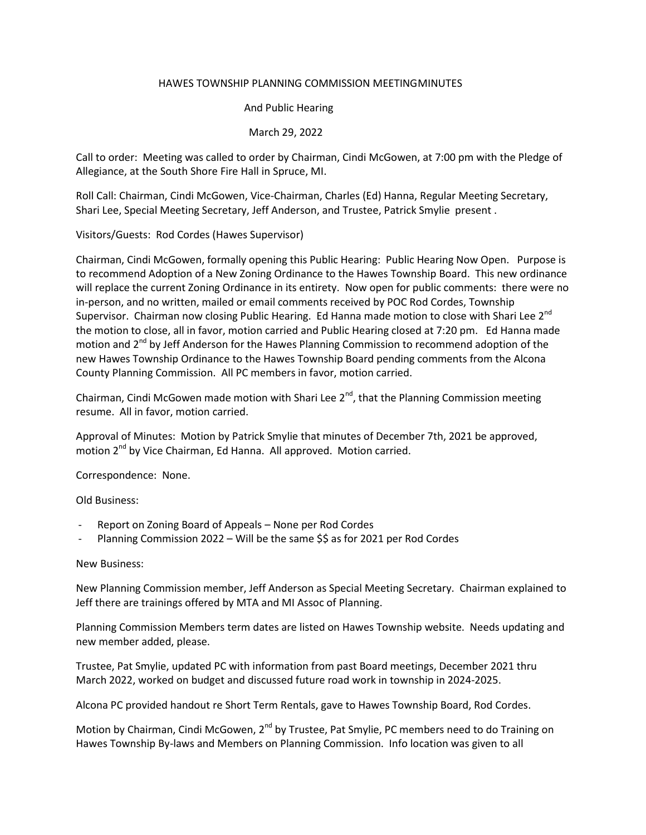### HAWES TOWNSHIP PLANNING COMMISSION MEETINGMINUTES

## And Public Hearing

# March 29, 2022

Call to order: Meeting was called to order by Chairman, Cindi McGowen, at 7:00 pm with the Pledge of Allegiance, at the South Shore Fire Hall in Spruce, MI.

Roll Call: Chairman, Cindi McGowen, Vice-Chairman, Charles (Ed) Hanna, Regular Meeting Secretary, Shari Lee, Special Meeting Secretary, Jeff Anderson, and Trustee, Patrick Smylie present .

## Visitors/Guests: Rod Cordes (Hawes Supervisor)

Chairman, Cindi McGowen, formally opening this Public Hearing: Public Hearing Now Open. Purpose is to recommend Adoption of a New Zoning Ordinance to the Hawes Township Board. This new ordinance will replace the current Zoning Ordinance in its entirety. Now open for public comments: there were no in-person, and no written, mailed or email comments received by POC Rod Cordes, Township Supervisor. Chairman now closing Public Hearing. Ed Hanna made motion to close with Shari Lee  $2^{nd}$ the motion to close, all in favor, motion carried and Public Hearing closed at 7:20 pm. Ed Hanna made motion and 2<sup>nd</sup> by Jeff Anderson for the Hawes Planning Commission to recommend adoption of the new Hawes Township Ordinance to the Hawes Township Board pending comments from the Alcona County Planning Commission. All PC members in favor, motion carried.

Chairman, Cindi McGowen made motion with Shari Lee  $2^{nd}$ , that the Planning Commission meeting resume. All in favor, motion carried.

Approval of Minutes: Motion by Patrick Smylie that minutes of December 7th, 2021 be approved, motion 2<sup>nd</sup> by Vice Chairman, Ed Hanna. All approved. Motion carried.

Correspondence: None.

Old Business:

- Report on Zoning Board of Appeals None per Rod Cordes
- Planning Commission 2022 Will be the same \$\$ as for 2021 per Rod Cordes

#### New Business:

New Planning Commission member, Jeff Anderson as Special Meeting Secretary. Chairman explained to Jeff there are trainings offered by MTA and MI Assoc of Planning.

Planning Commission Members term dates are listed on Hawes Township website. Needs updating and new member added, please.

Trustee, Pat Smylie, updated PC with information from past Board meetings, December 2021 thru March 2022, worked on budget and discussed future road work in township in 2024-2025.

Alcona PC provided handout re Short Term Rentals, gave to Hawes Township Board, Rod Cordes.

Motion by Chairman, Cindi McGowen,  $2^{nd}$  by Trustee, Pat Smylie, PC members need to do Training on Hawes Township By-laws and Members on Planning Commission. Info location was given to all